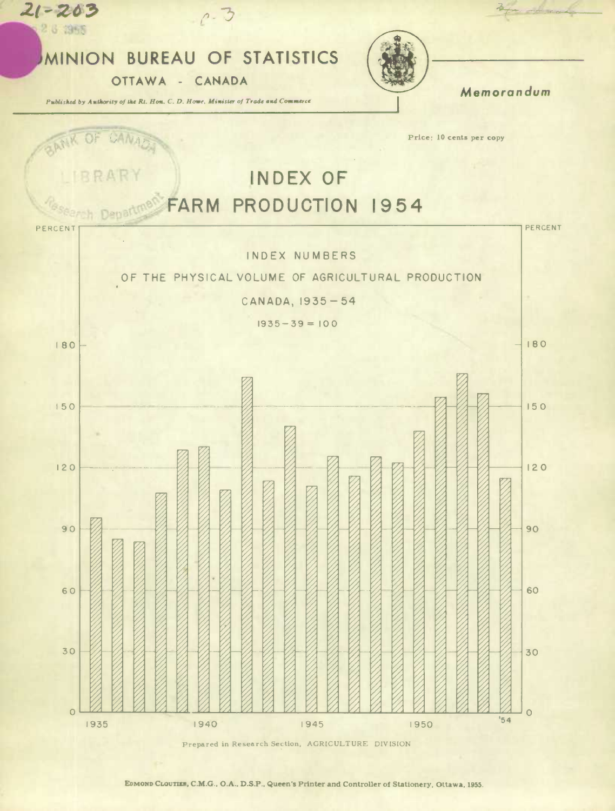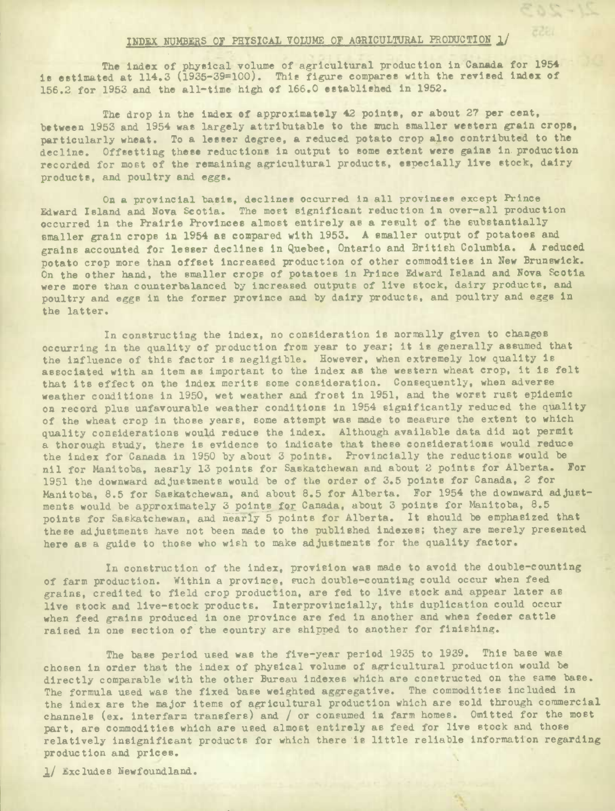## INDEX NUMBERS OF PHYSICAL VOLUME OF AGRICULTURAL PRODUCTION 1/

 $\sigma$  dist

The index of physical volume of agricultural production in Canada for 1954 is estimated at 114.3 (1935-39100). This figure compares with **the revised index** of 156.2 for 1953 and the all-time high of 166.0 established in 1952.

The drop in the index of approximately 42 points, or about 27 per cent, between 1953 and 1954 was largely attributable to the much smaller western grain crops, particularly wheat. To a lesser degree, a reduced potato crop also contributed to the decline. Offsetting these reductions in output to some extent were gains in. production recorded, for most of the remaining agricultural products, **especially live** stock, dairy products, and poultry and eggs.

On a provincial basis, declines occurred **in all provinees** except Prince Edward Island and Nova Scotia. The most significant reduction in over-all production occurred in the Prairie Provinces almost entirely as a result of the substantially smaller grain crops in 1954 as compared with 1953. A smaller output of potatoes and grains accounted for lesser declines In Quebec, Ontario and British Columbia. A reduced potato crop more than offset Increased production of other commodities In New Brunswick. On the other hand, the smaller crops of potatoes in Prince Edward Island and Nova Scotia were more than counterbalanced by increased outputs of live stock, dairy products, and poultry and eggs in the former province and by dairy products, and poultry and eggs in the latter.

In constructing the index, no consideration **is** normally given to changes occurring in the quality of production from year to year; it Is generally assumed that the influence of this factor is negligible. However, when extremely low quality is associated with an item as important to the index as the western wheat crop, it is felt that its effect on the index merits some consideration. Consequently, when adverse weather conditions in 1950, wet weather and frost in 1951, and **the worst rust epidemic on record plus uzifavourable weather conditions in 1954 significantly reduced the quality**  of the wheat crop in those years, some attempt was made to measure the extent to which quality considerations would reduce the Index. Although available data did not permit a thorough study, there is evidence to indicate that these considerations would reduce the index for Canada in 1950 by about 3 points. Provincially the reductions would be nil for Manitoba, nearly 13 points for Saskatchewan and about *2* points for Alberta. For 1951 the downward adjustments would be of the order of 3.5 points for Canada, 2 for Manitoba, 8.5 for Saskatchewan, and about 8.5 for Alberta. For 1954 the downward adjustments would be approximately 3 points for Canada, about 3 points for Manitoba, 8.5 points for Saskatchewan, and nearly 5 points for Alberta. It should be emphasized that these adjustments have not been made to the published indexes; they are merely presented here as a guide to those who wish to make adjustments for the quality factor.

In construction of the Index, provision was made to avoid the double-counting of farm production. Within a province, such double-counting could occur when feed grains, credited to field crop production, are fed to live stock and appear later as live stock and live-stock products. **Interprovincially,** this duplication could occur when feed grains produced in one province are fed in another and when feeder cattle raised in one section of the country are shipped to another for finishing.

The base period used was the five-year period 1935 to 1939. This base was chosen in order that the index of physical volume of agricultural production would be directly comparable with the other Bureau indexes which are constructed on the same base. The formula used was the fixed base weighted aggregative. The commodities included in the index are the major items of agricultural production which are sold through commercial channels (er. interfarm transfers) and */* or consumed in farm homes. Omitted for the most part, are commodities which are used almost entirely as feed for live stock and those relatively insignificant products for which there **'is** little reliable information regarding production and prices.

1/ Excludes Newfoundland.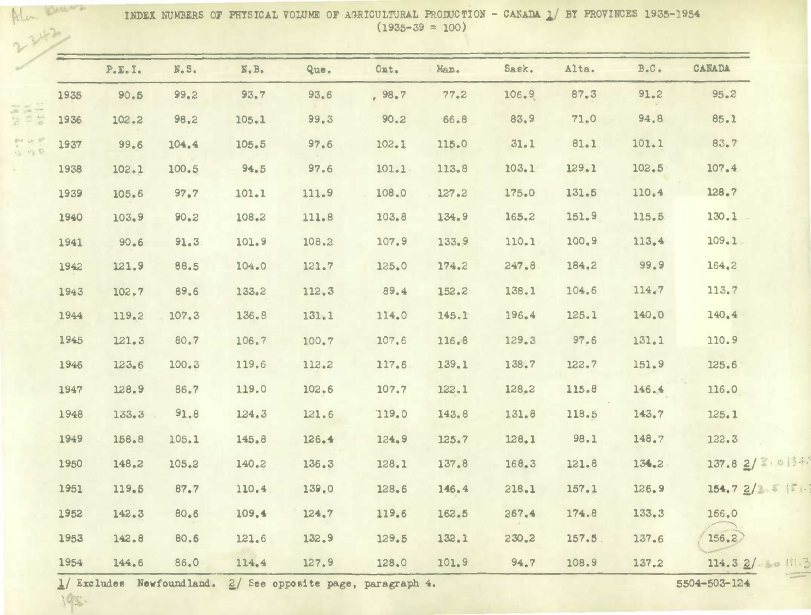INDEX NUMBERS OF PHYSICAL VOLUME OF AGRICULTURAL PRODUCTION - CANADA 1/ BY PROVINCES 1935-1954  $(1935 - 39 = 100)$ 

|      | P.E.I. | N.S.  | N.B.  | Que.  | Ont.   | Man.  | Sask. | Alta.     | B.C.  | <b>CANADA</b>  |
|------|--------|-------|-------|-------|--------|-------|-------|-----------|-------|----------------|
| 1935 | 90.5   | 99.2  | 93.7  | 93.6  | , 98.7 | 77.2  | 106.9 | 87.3      | 91.2  | 95.2           |
| 1936 | 102.2  | 98.2  | 105.1 | 99.3  | 90.2   | 66.8  | 83.9  | 71.0      | 94.8  | 85.1           |
| 1937 | 99.6   | 104.4 | 105.5 | 97.6  | 102.1  | 115.0 | 31.1  | 81.1      | 101.1 | 83.7           |
| 1938 | 102.1  | 100.5 | 94.5  | 97.6  | 101.1  | 113.8 | 103.1 | 129.1     | 102.5 | 107.4          |
| 1939 | 105.6  | 97.7  | 101.1 | 111.9 | 108.0  | 127.2 | 175.0 | 131.5     | 110.4 | 128.7          |
| 1940 | 103.9  | 90.2  | 108.2 | 111.8 | 103.8  | 134.9 | 165.2 | 151.9     | 115.5 | 130.1          |
| 1941 | 90.6   | 91.3  | 101.9 | 108.2 | 107.9  | 133.9 | 110.1 | 100.9     | 113.4 | 109.1          |
| 1942 | 121.9  | 88.5  | 104.0 | 121.7 | 125.0  | 174.2 | 247.8 | 184.2     | 99.9  | 164.2          |
| 1943 | 102.7  | 89.6  | 133.2 | 112.3 | 89.4   | 152.2 | 138.1 | 104.6     | 114.7 | 113.7          |
| 1944 | 119.2  | 107.3 | 136.8 | 131.1 | 114.0  | 145.1 | 196.4 | 125.1     | 140.0 | 140.4          |
| 1945 | 121.3  | 80.7  | 106.7 | 100.7 | 107.6  | 116.8 | 129.3 | 97.6      | 131.1 | 110.9          |
| 1946 | 123.6  | 100.3 | 119.6 | 112.2 | 117.6  | 139.1 | 138.7 | 122.7     | 151.9 | 125.6          |
| 1947 | 128.9  | 86.7  | 119.0 | 102.6 | 107.7  | 122.1 | 128.2 | 115.8     | 146.4 | 116.0          |
| 1948 | 133.3  | 91.8  | 124.3 | 121.6 | 119.0  | 143.8 | 131.8 | 118.5     | 143.7 | 125.1          |
| 1949 | 158.8  | 105.1 | 145.8 | 126.4 | 124.9  | 125.7 | 128.1 | 98.1      | 148.7 | 122.3          |
| 1950 | 148.2  | 105.2 | 140.2 | 136.3 | 128.1  | 137.8 | 168.3 | 121.8     | 134.2 | 137.82/2.0134. |
| 1951 | 119.5  | 87.7  | 110.4 | 139.0 | 128.6  | 146.4 | 218.1 | 157.1     | 126.9 | 154.72/2.5     |
| 1952 | 142.3  | 80.6  | 109.4 | 124.7 | 119.6  | 162.5 | 267.4 | 174.8     | 133.3 | 166.0          |
| 1953 | 142.8  | 80.6  | 121.6 | 132.9 | 129.5  | 132.1 | 230.2 | $157.5$ . | 137.6 | 156.2          |
| 1954 | 144.6  | 86.0  | 114.4 | 127.9 | 128.0  | 101.9 | 94.7  | 108.9     | 137.2 | 114.32/38113   |

 $\frac{1}{2}$  Excludes Newfoundland.  $\frac{2}{5604}$  See opposite page, paragraph 4. 5504-503-124

I.-